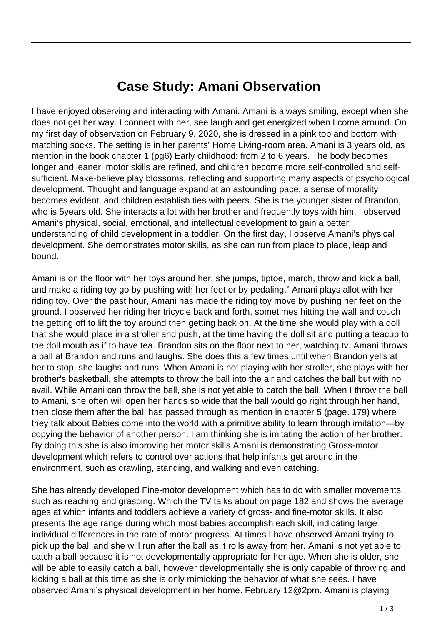## **Case Study: Amani Observation**

I have enjoyed observing and interacting with Amani. Amani is always smiling, except when she does not get her way. I connect with her, see laugh and get energized when I come around. On my first day of observation on February 9, 2020, she is dressed in a pink top and bottom with matching socks. The setting is in her parents' Home Living-room area. Amani is 3 years old, as mention in the book chapter 1 (pg6) Early childhood: from 2 to 6 years. The body becomes longer and leaner, motor skills are refined, and children become more self-controlled and selfsufficient. Make-believe play blossoms, reflecting and supporting many aspects of psychological development. Thought and language expand at an astounding pace, a sense of morality becomes evident, and children establish ties with peers. She is the younger sister of Brandon, who is 5years old. She interacts a lot with her brother and frequently toys with him. I observed Amani's physical, social, emotional, and intellectual development to gain a better understanding of child development in a toddler. On the first day, I observe Amani's physical development. She demonstrates motor skills, as she can run from place to place, leap and bound.

Amani is on the floor with her toys around her, she jumps, tiptoe, march, throw and kick a ball, and make a riding toy go by pushing with her feet or by pedaling." Amani plays allot with her riding toy. Over the past hour, Amani has made the riding toy move by pushing her feet on the ground. I observed her riding her tricycle back and forth, sometimes hitting the wall and couch the getting off to lift the toy around then getting back on. At the time she would play with a doll that she would place in a stroller and push, at the time having the doll sit and putting a teacup to the doll mouth as if to have tea. Brandon sits on the floor next to her, watching tv. Amani throws a ball at Brandon and runs and laughs. She does this a few times until when Brandon yells at her to stop, she laughs and runs. When Amani is not playing with her stroller, she plays with her brother's basketball, she attempts to throw the ball into the air and catches the ball but with no avail. While Amani can throw the ball, she is not yet able to catch the ball. When I throw the ball to Amani, she often will open her hands so wide that the ball would go right through her hand, then close them after the ball has passed through as mention in chapter 5 (page. 179) where they talk about Babies come into the world with a primitive ability to learn through imitation—by copying the behavior of another person. I am thinking she is imitating the action of her brother. By doing this she is also improving her motor skills Amani is demonstrating Gross-motor development which refers to control over actions that help infants get around in the environment, such as crawling, standing, and walking and even catching.

She has already developed Fine-motor development which has to do with smaller movements, such as reaching and grasping. Which the TV talks about on page 182 and shows the average ages at which infants and toddlers achieve a variety of gross- and fine-motor skills. It also presents the age range during which most babies accomplish each skill, indicating large individual differences in the rate of motor progress. At times I have observed Amani trying to pick up the ball and she will run after the ball as it rolls away from her. Amani is not yet able to catch a ball because it is not developmentally appropriate for her age. When she is older, she will be able to easily catch a ball, however developmentally she is only capable of throwing and kicking a ball at this time as she is only mimicking the behavior of what she sees. I have observed Amani's physical development in her home. February 12@2pm. Amani is playing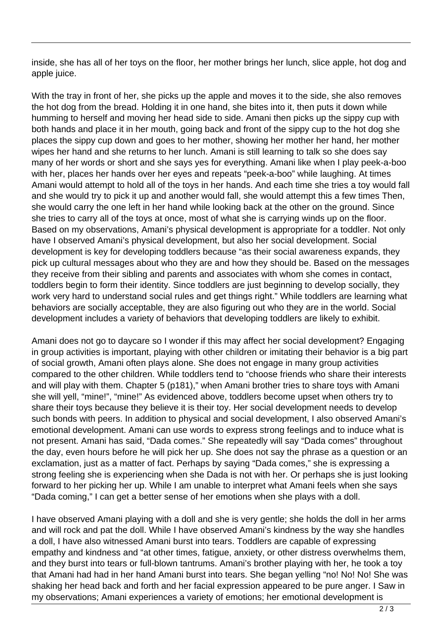inside, she has all of her toys on the floor, her mother brings her lunch, slice apple, hot dog and apple juice.

With the tray in front of her, she picks up the apple and moves it to the side, she also removes the hot dog from the bread. Holding it in one hand, she bites into it, then puts it down while humming to herself and moving her head side to side. Amani then picks up the sippy cup with both hands and place it in her mouth, going back and front of the sippy cup to the hot dog she places the sippy cup down and goes to her mother, showing her mother her hand, her mother wipes her hand and she returns to her lunch. Amani is still learning to talk so she does say many of her words or short and she says yes for everything. Amani like when I play peek-a-boo with her, places her hands over her eyes and repeats "peek-a-boo" while laughing. At times Amani would attempt to hold all of the toys in her hands. And each time she tries a toy would fall and she would try to pick it up and another would fall, she would attempt this a few times Then, she would carry the one left in her hand while looking back at the other on the ground. Since she tries to carry all of the toys at once, most of what she is carrying winds up on the floor. Based on my observations, Amani's physical development is appropriate for a toddler. Not only have I observed Amani's physical development, but also her social development. Social development is key for developing toddlers because "as their social awareness expands, they pick up cultural messages about who they are and how they should be. Based on the messages they receive from their sibling and parents and associates with whom she comes in contact, toddlers begin to form their identity. Since toddlers are just beginning to develop socially, they work very hard to understand social rules and get things right." While toddlers are learning what behaviors are socially acceptable, they are also figuring out who they are in the world. Social development includes a variety of behaviors that developing toddlers are likely to exhibit.

Amani does not go to daycare so I wonder if this may affect her social development? Engaging in group activities is important, playing with other children or imitating their behavior is a big part of social growth, Amani often plays alone. She does not engage in many group activities compared to the other children. While toddlers tend to "choose friends who share their interests and will play with them. Chapter 5 (p181)," when Amani brother tries to share toys with Amani she will yell, "mine!", "mine!" As evidenced above, toddlers become upset when others try to share their toys because they believe it is their toy. Her social development needs to develop such bonds with peers. In addition to physical and social development, I also observed Amani's emotional development. Amani can use words to express strong feelings and to induce what is not present. Amani has said, "Dada comes." She repeatedly will say "Dada comes" throughout the day, even hours before he will pick her up. She does not say the phrase as a question or an exclamation, just as a matter of fact. Perhaps by saying "Dada comes," she is expressing a strong feeling she is experiencing when she Dada is not with her. Or perhaps she is just looking forward to her picking her up. While I am unable to interpret what Amani feels when she says "Dada coming," I can get a better sense of her emotions when she plays with a doll.

I have observed Amani playing with a doll and she is very gentle; she holds the doll in her arms and will rock and pat the doll. While I have observed Amani's kindness by the way she handles a doll, I have also witnessed Amani burst into tears. Toddlers are capable of expressing empathy and kindness and "at other times, fatigue, anxiety, or other distress overwhelms them, and they burst into tears or full-blown tantrums. Amani's brother playing with her, he took a toy that Amani had had in her hand Amani burst into tears. She began yelling "no! No! No! She was shaking her head back and forth and her facial expression appeared to be pure anger. I Saw in my observations; Amani experiences a variety of emotions; her emotional development is